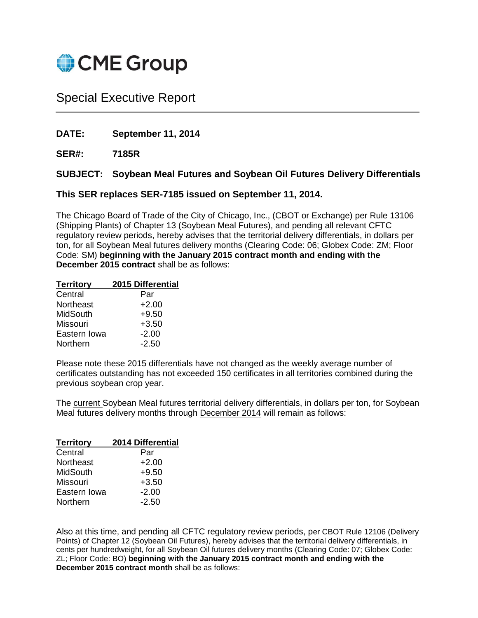

## Special Executive Report

**DATE: September 11, 2014**

**SER#: 7185R**

## **SUBJECT: Soybean Meal Futures and Soybean Oil Futures Delivery Differentials**

## **This SER replaces SER-7185 issued on September 11, 2014.**

The Chicago Board of Trade of the City of Chicago, Inc., (CBOT or Exchange) per Rule 13106 (Shipping Plants) of Chapter 13 (Soybean Meal Futures), and pending all relevant CFTC regulatory review periods, hereby advises that the territorial delivery differentials, in dollars per ton, for all Soybean Meal futures delivery months (Clearing Code: 06; Globex Code: ZM; Floor Code: SM) **beginning with the January 2015 contract month and ending with the December 2015 contract** shall be as follows:

| 2015 Differential |
|-------------------|
| Par               |
| $+2.00$           |
| $+9.50$           |
| $+3.50$           |
| $-2.00$           |
| $-2.50$           |
|                   |

Please note these 2015 differentials have not changed as the weekly average number of certificates outstanding has not exceeded 150 certificates in all territories combined during the previous soybean crop year.

The current Soybean Meal futures territorial delivery differentials, in dollars per ton, for Soybean Meal futures delivery months through December 2014 will remain as follows:

| <b>Territory</b> | 2014 Differential |
|------------------|-------------------|
| Central          | Par               |
| Northeast        | $+2.00$           |
| MidSouth         | $+9.50$           |
| Missouri         | $+3.50$           |
| Eastern Iowa     | $-2.00$           |
| Northern         | $-2.50$           |

Also at this time, and pending all CFTC regulatory review periods, per CBOT Rule 12106 (Delivery Points) of Chapter 12 (Soybean Oil Futures), hereby advises that the territorial delivery differentials, in cents per hundredweight, for all Soybean Oil futures delivery months (Clearing Code: 07; Globex Code: ZL; Floor Code: BO) **beginning with the January 2015 contract month and ending with the December 2015 contract month** shall be as follows: